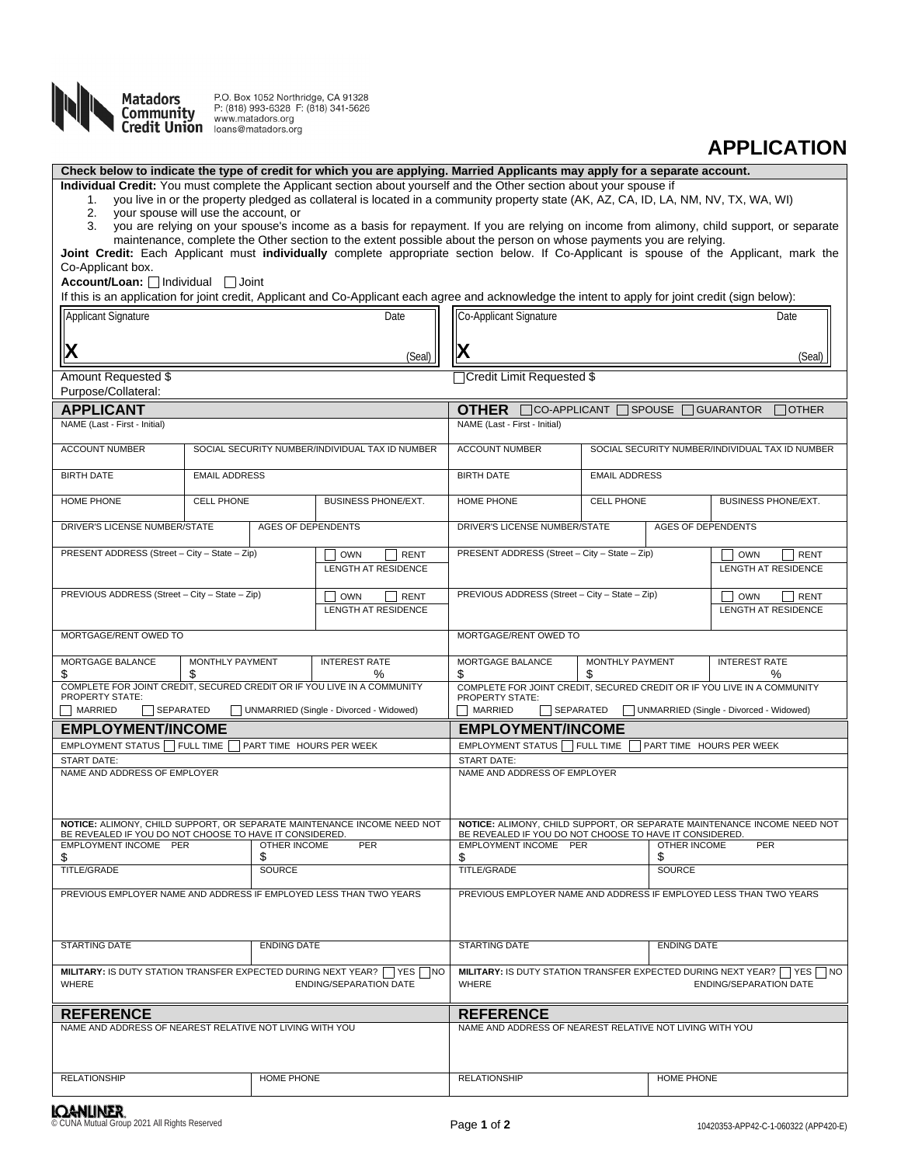

P.O. Box 1052 Northridge, CA 91328 P: (818) 993-6328 F: (818) 341-5626 **Community** P: (818) 993-6328 F:<br> **Community** WWW.matadors.org<br> **Credit Union** loans@matadors.org

## **APPLICATION**

**Check below to indicate the type of credit for which you are applying. Married Applicants may apply for a separate account.**

**Individual Credit:** You must complete the Applicant section about yourself and the Other section about your spouse if

1. you live in or the property pledged as collateral is located in a community property state (AK, AZ, CA, ID, LA, NM, NV, TX, WA, WI)<br>2. your spouse will use the account, or

2. your spouse will use the account, or<br>3. you are relying on your spouse's ine

you are relying on your spouse's income as a basis for repayment. If you are relying on income from alimony, child support, or separate maintenance, complete the Other section to the extent possible about the person on whose payments you are relying.

**Joint Credit:** Each Applicant must **individually** complete appropriate section below. If Co-Applicant is spouse of the Applicant, mark the Co-Applicant box.

## Account/Loan: **Individual Joint**

If this is an application for joint credit, Applicant and Co-Applicant each agree and acknowledge the intent to apply for joint credit (sign below):

| Applicant Signature                                                                     |                                                                         | Date                                                                                             | Co-Applicant Signature                                                                           | Date                 |                                                                         |  |  |  |  |
|-----------------------------------------------------------------------------------------|-------------------------------------------------------------------------|--------------------------------------------------------------------------------------------------|--------------------------------------------------------------------------------------------------|----------------------|-------------------------------------------------------------------------|--|--|--|--|
|                                                                                         |                                                                         | (Seal)                                                                                           | X<br>(Seal)                                                                                      |                      |                                                                         |  |  |  |  |
| Amount Requested \$                                                                     |                                                                         |                                                                                                  | □Credit Limit Requested \$                                                                       |                      |                                                                         |  |  |  |  |
| Purpose/Collateral:                                                                     |                                                                         |                                                                                                  |                                                                                                  |                      |                                                                         |  |  |  |  |
| <b>APPLICANT</b>                                                                        |                                                                         |                                                                                                  | OTHER CCO-APPLICANT SPOUSE<br><b>GUARANTOR</b><br>$\Box$ OTHER                                   |                      |                                                                         |  |  |  |  |
| NAME (Last - First - Initial)                                                           |                                                                         |                                                                                                  | NAME (Last - First - Initial)                                                                    |                      |                                                                         |  |  |  |  |
| <b>ACCOUNT NUMBER</b><br>SOCIAL SECURITY NUMBER/INDIVIDUAL TAX ID NUMBER                |                                                                         |                                                                                                  | <b>ACCOUNT NUMBER</b><br>SOCIAL SECURITY NUMBER/INDIVIDUAL TAX ID NUMBER                         |                      |                                                                         |  |  |  |  |
| <b>BIRTH DATE</b>                                                                       | <b>EMAIL ADDRESS</b>                                                    |                                                                                                  | <b>BIRTH DATE</b>                                                                                | <b>EMAIL ADDRESS</b> |                                                                         |  |  |  |  |
| HOME PHONE                                                                              | <b>CELL PHONE</b>                                                       | <b>BUSINESS PHONE/EXT.</b>                                                                       | HOME PHONE                                                                                       | <b>CELL PHONE</b>    | <b>BUSINESS PHONE/EXT.</b>                                              |  |  |  |  |
| DRIVER'S LICENSE NUMBER/STATE                                                           |                                                                         | <b>AGES OF DEPENDENTS</b>                                                                        | <b>AGES OF DEPENDENTS</b><br>DRIVER'S LICENSE NUMBER/STATE                                       |                      |                                                                         |  |  |  |  |
| PRESENT ADDRESS (Street - City - State - Zip)                                           |                                                                         | <b>OWN</b><br><b>RENT</b>                                                                        | PRESENT ADDRESS (Street - City - State - Zip)                                                    |                      | <b>RENT</b><br><b>OWN</b>                                               |  |  |  |  |
|                                                                                         |                                                                         | LENGTH AT RESIDENCE                                                                              |                                                                                                  |                      | LENGTH AT RESIDENCE                                                     |  |  |  |  |
| PREVIOUS ADDRESS (Street - City - State - Zip)                                          |                                                                         | <b>RENT</b><br>OWN                                                                               | PREVIOUS ADDRESS (Street - City - State - Zip)                                                   |                      | <b>RENT</b><br><b>OWN</b>                                               |  |  |  |  |
|                                                                                         |                                                                         | LENGTH AT RESIDENCE                                                                              |                                                                                                  |                      | LENGTH AT RESIDENCE                                                     |  |  |  |  |
| MORTGAGE/RENT OWED TO                                                                   |                                                                         |                                                                                                  | MORTGAGE/RENT OWED TO                                                                            |                      |                                                                         |  |  |  |  |
| MORTGAGE BALANCE<br>\$                                                                  | <b>MONTHLY PAYMENT</b><br>\$                                            | <b>INTEREST RATE</b><br>$\%$                                                                     | MORTGAGE BALANCE<br>MONTHLY PAYMENT<br>\$<br>S                                                   |                      | <b>INTEREST RATE</b><br>℅                                               |  |  |  |  |
| <b>PROPERTY STATE:</b>                                                                  | COMPLETE FOR JOINT CREDIT, SECURED CREDIT OR IF YOU LIVE IN A COMMUNITY |                                                                                                  |                                                                                                  |                      | COMPLETE FOR JOINT CREDIT, SECURED CREDIT OR IF YOU LIVE IN A COMMUNITY |  |  |  |  |
| MARRIED<br>SEPARATED<br>UNMARRIED (Single - Divorced - Widowed)                         |                                                                         |                                                                                                  | PROPERTY STATE:<br><b>MARRIED</b><br>UNMARRIED (Single - Divorced - Widowed)<br>$\Box$ SEPARATED |                      |                                                                         |  |  |  |  |
| <b>EMPLOYMENT/INCOME</b>                                                                |                                                                         |                                                                                                  | <b>EMPLOYMENT/INCOME</b>                                                                         |                      |                                                                         |  |  |  |  |
| EMPLOYMENT STATUS FULL TIME                                                             |                                                                         | PART TIME HOURS PER WEEK                                                                         | EMPLOYMENT STATUS FULL TIME<br>PART TIME HOURS PER WEEK                                          |                      |                                                                         |  |  |  |  |
|                                                                                         |                                                                         |                                                                                                  | <b>START DATE:</b>                                                                               |                      |                                                                         |  |  |  |  |
| <b>START DATE:</b>                                                                      |                                                                         |                                                                                                  |                                                                                                  |                      |                                                                         |  |  |  |  |
| NAME AND ADDRESS OF EMPLOYER                                                            |                                                                         |                                                                                                  | NAME AND ADDRESS OF EMPLOYER                                                                     |                      |                                                                         |  |  |  |  |
|                                                                                         |                                                                         | NOTICE: ALIMONY, CHILD SUPPORT, OR SEPARATE MAINTENANCE INCOME NEED NOT                          |                                                                                                  |                      | NOTICE: ALIMONY, CHILD SUPPORT, OR SEPARATE MAINTENANCE INCOME NEED NOT |  |  |  |  |
| BE REVEALED IF YOU DO NOT CHOOSE TO HAVE IT CONSIDERED.<br><b>EMPLOYMENT INCOME PER</b> | <b>OTHER INCOME</b>                                                     | <b>PER</b>                                                                                       | BE REVEALED IF YOU DO NOT CHOOSE TO HAVE IT CONSIDERED.<br><b>EMPLOYMENT INCOME PER</b>          |                      | <b>OTHER INCOME</b><br>PER                                              |  |  |  |  |
| \$                                                                                      | \$                                                                      |                                                                                                  | \$                                                                                               | \$                   |                                                                         |  |  |  |  |
| TITLE/GRADE                                                                             | SOURCE                                                                  |                                                                                                  | <b>TITLE/GRADE</b>                                                                               |                      | SOURCE                                                                  |  |  |  |  |
| PREVIOUS EMPLOYER NAME AND ADDRESS IF EMPLOYED LESS THAN TWO YEARS                      |                                                                         |                                                                                                  |                                                                                                  |                      | PREVIOUS EMPLOYER NAME AND ADDRESS IF EMPLOYED LESS THAN TWO YEARS      |  |  |  |  |
| <b>STARTING DATE</b>                                                                    | <b>ENDING DATE</b>                                                      |                                                                                                  | <b>STARTING DATE</b>                                                                             |                      | <b>ENDING DATE</b>                                                      |  |  |  |  |
| WHERE                                                                                   |                                                                         | MILITARY: IS DUTY STATION TRANSFER EXPECTED DURING NEXT YEAR? THES TIO<br>ENDING/SEPARATION DATE | WHERE                                                                                            |                      | ENDING/SEPARATION DATE                                                  |  |  |  |  |
| <b>REFERENCE</b>                                                                        |                                                                         |                                                                                                  | <b>REFERENCE</b>                                                                                 |                      |                                                                         |  |  |  |  |
| NAME AND ADDRESS OF NEAREST RELATIVE NOT LIVING WITH YOU                                |                                                                         |                                                                                                  | NAME AND ADDRESS OF NEAREST RELATIVE NOT LIVING WITH YOU                                         |                      | MILITARY: IS DUTY STATION TRANSFER EXPECTED DURING NEXT YEAR? TYES TO   |  |  |  |  |
|                                                                                         |                                                                         |                                                                                                  |                                                                                                  |                      |                                                                         |  |  |  |  |